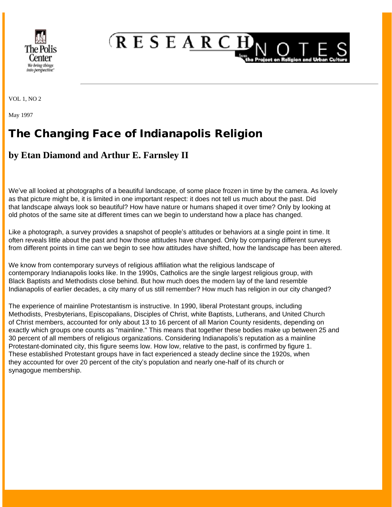

**RESEARCH** 

VOL 1, NO 2

May 1997

## The Changing Face of Indianapolis Religion

## **by Etan Diamond and Arthur E. Farnsley II**

We've all looked at photographs of a beautiful landscape, of some place frozen in time by the camera. As lovely as that picture might be, it is limited in one important respect: it does not tell us much about the past. Did that landscape always look so beautiful? How have nature or humans shaped it over time? Only by looking at old photos of the same site at different times can we begin to understand how a place has changed.

Like a photograph, a survey provides a snapshot of people's attitudes or behaviors at a single point in time. It often reveals little about the past and how those attitudes have changed. Only by comparing different surveys from different points in time can we begin to see how attitudes have shifted, how the landscape has been altered.

We know from contemporary surveys of religious affiliation what the religious landscape of contemporary Indianapolis looks like. In the 1990s, Catholics are the single largest religious group, with Black Baptists and Methodists close behind. But how much does the modern lay of the land resemble Indianapolis of earlier decades, a city many of us still remember? How much has religion in our city changed?

The experience of mainline Protestantism is instructive. In 1990, liberal Protestant groups, including Methodists, Presbyterians, Episcopalians, Disciples of Christ, white Baptists, Lutherans, and United Church of Christ members, accounted for only about 13 to 16 percent of all Marion County residents, depending on exactly which groups one counts as "mainline." This means that together these bodies make up between 25 and 30 percent of all members of religious organizations. Considering Indianapolis's reputation as a mainline Protestant-dominated city, this figure seems low. How low, relative to the past, is confirmed by figure 1. These established Protestant groups have in fact experienced a steady decline since the 1920s, when they accounted for over 20 percent of the city's population and nearly one-half of its church or synagogue membership.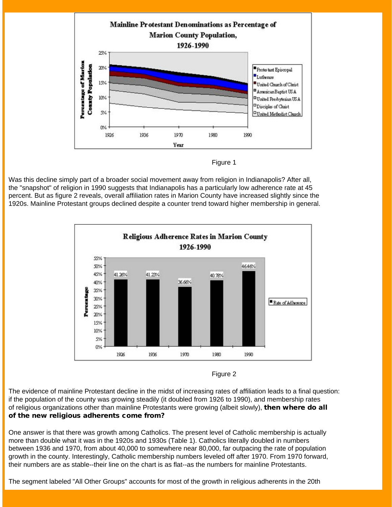

Figure 1

Was this decline simply part of a broader social movement away from religion in Indianapolis? After all, the "snapshot" of religion in 1990 suggests that Indianapolis has a particularly low adherence rate at 45 percent. But as figure 2 reveals, overall affiliation rates in Marion County have increased slightly since the 1920s. Mainline Protestant groups declined despite a counter trend toward higher membership in general.



Figure 2

The evidence of mainline Protestant decline in the midst of increasing rates of affiliation leads to a final question: if the population of the county was growing steadily (it doubled from 1926 to 1990), and membership rates of religious organizations other than mainline Protestants were growing (albeit slowly), then where do all of the new religious adherents come from?

One answer is that there was growth among Catholics. The present level of Catholic membership is actually more than double what it was in the 1920s and 1930s (Table 1). Catholics literally doubled in numbers between 1936 and 1970, from about 40,000 to somewhere near 80,000, far outpacing the rate of population growth in the county. Interestingly, Catholic membership numbers leveled off after 1970. From 1970 forward, their numbers are as stable--their line on the chart is as flat--as the numbers for mainline Protestants.

The segment labeled "All Other Groups" accounts for most of the growth in religious adherents in the 20th